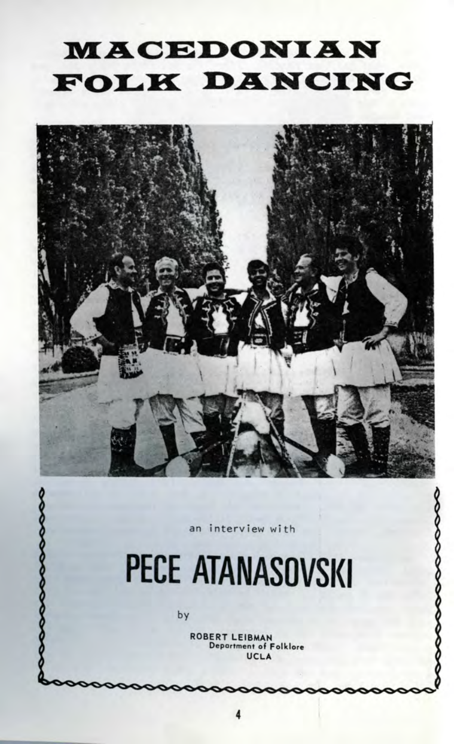## **MACEDONIAN** FOLK DANCING



an interview with

# PECE ATANASOVSKI

by

**ROBERT LEIBMAN** Department of Folklore UCLA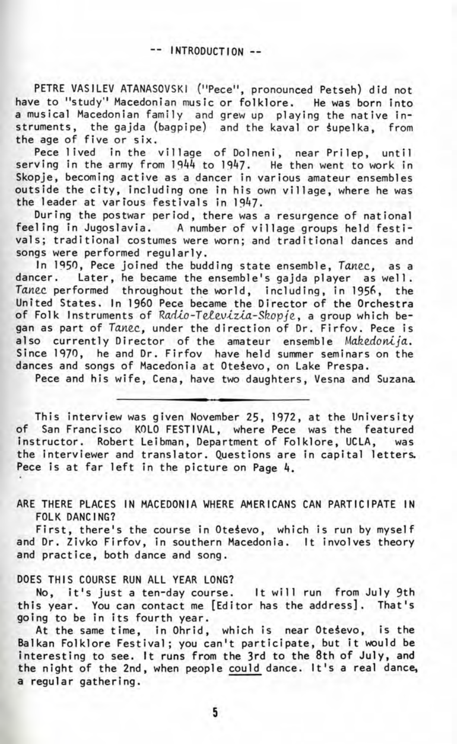PETRE VASILEV ATANASOVSK1 ("Pece", pronounced Petseh) did not have to "study" Macedonian music or folklore. He was born into a musical Macedonian family and grew up playing the native instruments, the gajda (bagpipe) and the kaval or supelka, from the age of five or six.

Pece lived in the village of Dolneni, near Prilep, until serving in the army from 1944 to 1947. He then went to work in Skopje, becoming active as a dancer in various amateur ensembles outside the city, including one in his own village, where he was the leader at various festivals in 1947.

During the postwar period, there was a resurgence of national feeling in Jugoslavia. A number of village groups held festivals; traditional costumes were worn; and traditional dances and songs were performed regularly.

In 1950, Pece joined the budding state ensemble, Tanec, as a dancer. Later, he became the ensemble's gajda player as well. Tanec performed throughout the world, including, in 1956, the United States. In I960 Pece became the Director of the Orchestra of Folk Instruments of Radio-Televizia-Skopje, a group which began as part of Tanec, under the direction of Dr. Firfov. Pece is also currently Director of the amateur ensemble Makedonija. Since 1970, he and Dr. Firfov have held summer seminars on the dances and songs of Macedonia at Otesevo, on Lake Prespa.

Pece and his wife, Cena, have two daughters, Vesna and Suzana

This interview was given November 25, 1972, at the University of San Francisco KOLO FESTIVAL, where Pece was the featured instructor. Robert Leibman, Department of Folklore, UCLA, was the interviewer and translator. Questions are in capital letters. Pece is at far left in the picture on Page 4.

ARE THERE PLACES IN MACEDONIA WHERE AMERICANS CAN PARTICIPATE IN FOLK DANCING?

First, there's the course in Otesevo, which is run by myself and Dr. Zivko Firfov, in southern Macedonia. It involves theory and practice, both dance and song.

#### DOES THIS COURSE RUN ALL YEAR LONG?

No, it's just a ten-day course. It will run from July 9th this year. You can contact me [Editor has the address]. That's going to be in its fourth year.

At the same time, in Ohrid, which is near Otesevo, is the Balkan Folklore Festival; you can't participate, but it would be interesting to see. It runs from the 3rd to the 8th of July, and the night of the 2nd, when people could dance. It's a real dance, a regular gathering.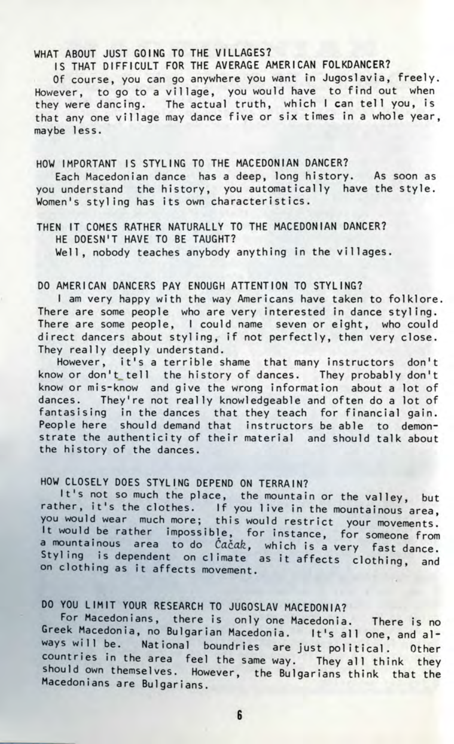#### WHAT ABOUT JUST GOING TO THE VILLAGES?

IS THAT DIFFICULT FOR THE AVERAGE AMERICAN FOLKDANCER?

Of course, you can go anywhere you want in Jugoslavia, freely. However, to go to a village, you would have to find out when they were dancing. The actual truth, which I can tell you, is that any one village may dance five or six times in a whole year. maybe less.

#### HOW IMPORTANT IS STYLING TO THE MACEDONIAN DANCER?

Each Macedonian dance has a deep, long history. As soon as you understand the history, you automatically have the style. Women's styling has its own characteristics.

#### THEN IT COMES RATHER NATURALLY TO THE MACEDONIAN DANCER? HE DOESN'T HAVE TO BE TAUGHT?

Well, nobody teaches anybody anything in the villages.

#### DO AMERICAN DANCERS PAY ENOUGH ATTENTION TO STYLING?

I am very happy with the way Americans have taken to folklore. There are some people who are very interested in dance styling. There are some people, I could name seven or eight, who could direct dancers about styling, if not perfectly, then very close. They really deeply understand.

However, it's a terrible shame that many instructors don't know or don't tell the history of dances. They probably don't know or mis-know and give the wrong information about a lot of dances. They're not really knowledgeable and often do a lot of fantasising in the dances that they teach for financial gain. People here should demand that instructors be able to demonstrate the authenticity of their material and should talk about the history of the dances.

#### HOW CLOSELY DOES STYLING DEPEND ON TERRAIN?

It's not so much the place, the mountain or the valley, but rather, it's the clothes. If you live in the mountainous area, you would wear much more; this would restrict your movements. It would be rather impossible, for instance, for someone from a mountainous area to do Cačak, which is a very fast dance. Styling is dependent on climate as it affects clothing, and on clothing as it affects movement.

### DO YOU LIMIT YOUR RESEARCH TO JUGOSLAV MACEDONIA?

For Macedonians, there is only one Macedonia. There is no Greek Macedonia, no Bulgarian Macedonia. It's all one, and always will be. National boundries are just political. Other countries in the area feel the same way. They all think they should own themselves. However, the Bulgarians think that the Macedonians are Bulgarians.